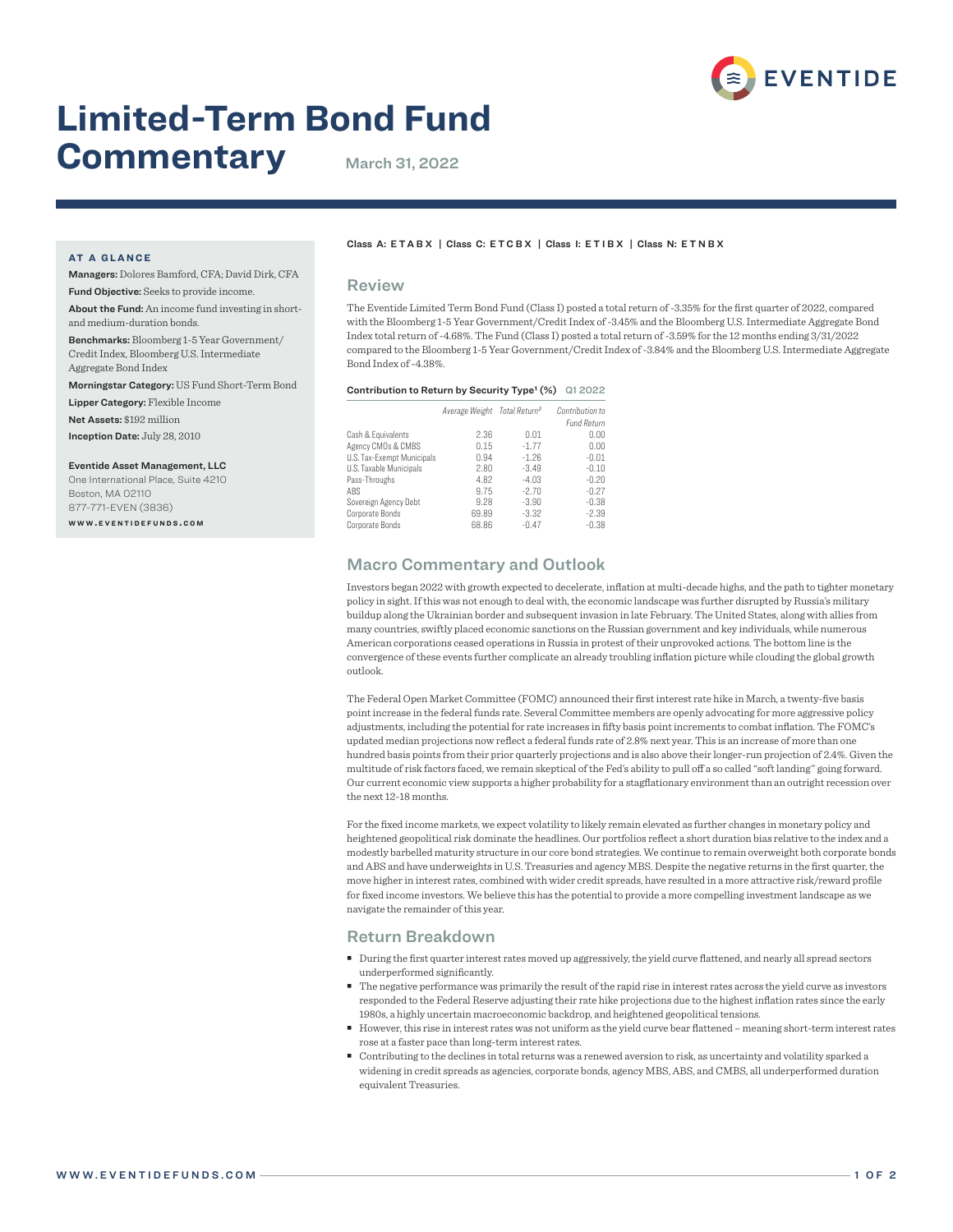

# **Limited-Term Bond Fund Commentary** March 31, 2022

#### **AT A GLANCE**

Managers: Dolores Bamford, CFA; David Dirk, CFA Fund Objective: Seeks to provide income.

About the Fund: An income fund investing in shortand medium-duration bonds.

Benchmarks: Bloomberg 1-5 Year Government/ Credit Index, Bloomberg U.S. Intermediate Aggregate Bond Index

Morningstar Category: US Fund Short-Term Bond

Lipper Category: Flexible Income

Net Assets: \$192 million

Inception Date: July 28, 2010

#### Eventide Asset Management, LLC

One International Place, Suite 4210 Boston, MA 02110 877-771-EVEN (3836) **w w w . e v e n t i d e f u n d s . c o m**

#### Class A: ETABX | Class C: ETCBX | Class I: ETIBX | Class N: E T N B X

#### Review

The Eventide Limited Term Bond Fund (Class I) posted a total return of -3.35% for the first quarter of 2022, compared with the Bloomberg 1-5 Year Government/Credit Index of -3.45% and the Bloomberg U.S. Intermediate Aggregate Bond Index total return of -4.68%. The Fund (Class I) posted a total return of -3.59% for the 12 months ending 3/31/2022 compared to the Bloomberg 1-5 Year Government/Credit Index of -3.84% and the Bloomberg U.S. Intermediate Aggregate Bond Index of -4.38%.

#### Contribution to Return by Security Type<sup>1</sup> (%) Q1 2022

|       |         | Contribution to                          |
|-------|---------|------------------------------------------|
|       |         | <b>Fund Return</b>                       |
| 2.36  | 0.01    | 0.00                                     |
| 0.15  | $-1.77$ | 0.00                                     |
| 0.94  | $-1.26$ | $-0.01$                                  |
| 2.80  | $-3.49$ | $-0.10$                                  |
| 4.82  | $-4.03$ | $-0.20$                                  |
| 9.75  | $-2.70$ | $-0.27$                                  |
| 9.28  | $-3.90$ | $-0.38$                                  |
| 69.89 | $-3.32$ | $-2.39$                                  |
| 68.86 | $-0.47$ | $-0.38$                                  |
|       |         | Average Weight Total Return <sup>2</sup> |

## Macro Commentary and Outlook

Investors began 2022 with growth expected to decelerate, inflation at multi-decade highs, and the path to tighter monetary policy in sight. If this was not enough to deal with, the economic landscape was further disrupted by Russia's military buildup along the Ukrainian border and subsequent invasion in late February. The United States, along with allies from many countries, swiftly placed economic sanctions on the Russian government and key individuals, while numerous American corporations ceased operations in Russia in protest of their unprovoked actions. The bottom line is the convergence of these events further complicate an already troubling inflation picture while clouding the global growth outlook.

The Federal Open Market Committee (FOMC) announced their first interest rate hike in March, a twenty-five basis point increase in the federal funds rate. Several Committee members are openly advocating for more aggressive policy adjustments, including the potential for rate increases in fifty basis point increments to combat inflation. The FOMC's updated median projections now reflect a federal funds rate of 2.8% next year. This is an increase of more than one hundred basis points from their prior quarterly projections and is also above their longer-run projection of 2.4%. Given the multitude of risk factors faced, we remain skeptical of the Fed's ability to pull off a so called "soft landing" going forward. Our current economic view supports a higher probability for a stagflationary environment than an outright recession over the next 12-18 months.

For the fixed income markets, we expect volatility to likely remain elevated as further changes in monetary policy and heightened geopolitical risk dominate the headlines. Our portfolios reflect a short duration bias relative to the index and a modestly barbelled maturity structure in our core bond strategies. We continue to remain overweight both corporate bonds and ABS and have underweights in U.S. Treasuries and agency MBS. Despite the negative returns in the first quarter, the move higher in interest rates, combined with wider credit spreads, have resulted in a more attractive risk/reward profile for fixed income investors. We believe this has the potential to provide a more compelling investment landscape as we navigate the remainder of this year.

## Return Breakdown

- During the first quarter interest rates moved up aggressively, the yield curve flattened, and nearly all spread sectors underperformed significantly.
- The negative performance was primarily the result of the rapid rise in interest rates across the yield curve as investors responded to the Federal Reserve adjusting their rate hike projections due to the highest inflation rates since the early 1980s, a highly uncertain macroeconomic backdrop, and heightened geopolitical tensions.
- However, this rise in interest rates was not uniform as the yield curve bear flattened meaning short-term interest rates rose at a faster pace than long-term interest rates.
- Contributing to the declines in total returns was a renewed aversion to risk, as uncertainty and volatility sparked a widening in credit spreads as agencies, corporate bonds, agency MBS, ABS, and CMBS, all underperformed duration equivalent Treasuries.